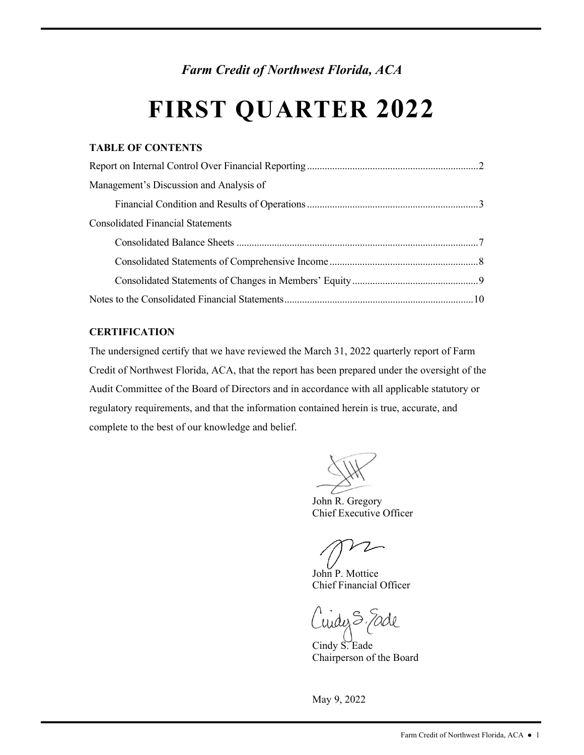*Farm Credit of Northwest Florida, ACA* 

# **FIRST QUARTER 2022**

## **TABLE OF CONTENTS**

| Management's Discussion and Analysis of  |  |
|------------------------------------------|--|
|                                          |  |
| <b>Consolidated Financial Statements</b> |  |
|                                          |  |
|                                          |  |
|                                          |  |
|                                          |  |

## **CERTIFICATION**

The undersigned certify that we have reviewed the March 31, 2022 quarterly report of Farm Credit of Northwest Florida, ACA, that the report has been prepared under the oversight of the Audit Committee of the Board of Directors and in accordance with all applicable statutory or regulatory requirements, and that the information contained herein is true, accurate, and complete to the best of our knowledge and belief.

John R. Gregory Chief Executive Officer

Chief Financial Officer John P. Mottice

uidez S. Fade

Cindy S. Eade Chairperson of the Board

May 9, 2022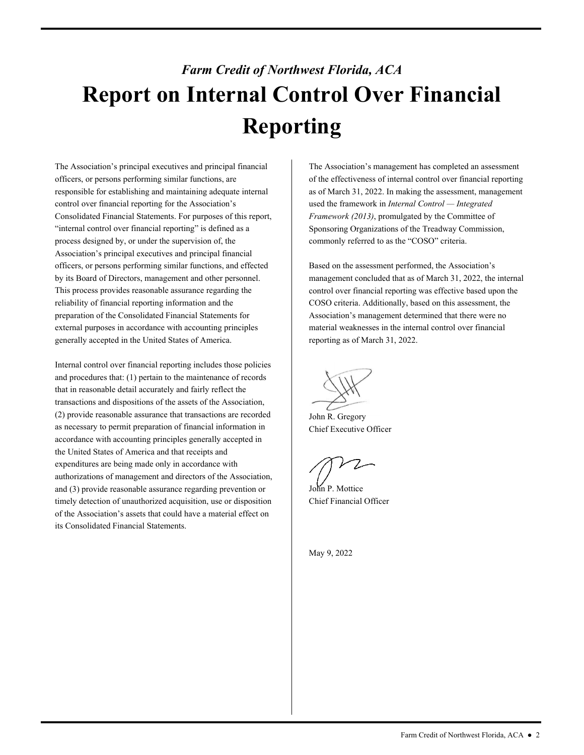# <span id="page-1-0"></span>*Farm Credit of Northwest Florida, ACA*  **Report on Internal Control Over Financial Reporting**

The Association's principal executives and principal financial officers, or persons performing similar functions, are responsible for establishing and maintaining adequate internal control over financial reporting for the Association's Consolidated Financial Statements. For purposes of this report, "internal control over financial reporting" is defined as a process designed by, or under the supervision of, the Association's principal executives and principal financial officers, or persons performing similar functions, and effected by its Board of Directors, management and other personnel. This process provides reasonable assurance regarding the reliability of financial reporting information and the preparation of the Consolidated Financial Statements for external purposes in accordance with accounting principles generally accepted in the United States of America.

Internal control over financial reporting includes those policies and procedures that: (1) pertain to the maintenance of records that in reasonable detail accurately and fairly reflect the transactions and dispositions of the assets of the Association, (2) provide reasonable assurance that transactions are recorded as necessary to permit preparation of financial information in accordance with accounting principles generally accepted in the United States of America and that receipts and expenditures are being made only in accordance with authorizations of management and directors of the Association, and (3) provide reasonable assurance regarding prevention or timely detection of unauthorized acquisition, use or disposition of the Association's assets that could have a material effect on its Consolidated Financial Statements.

The Association's management has completed an assessment of the effectiveness of internal control over financial reporting as of March 31, 2022. In making the assessment, management used the framework in *Internal Control — Integrated Framework (2013)*, promulgated by the Committee of Sponsoring Organizations of the Treadway Commission, commonly referred to as the "COSO" criteria.

 Association's management determined that there were no Based on the assessment performed, the Association's management concluded that as of March 31, 2022, the internal control over financial reporting was effective based upon the COSO criteria. Additionally, based on this assessment, the material weaknesses in the internal control over financial reporting as of March 31, 2022.

John R. Gregory Chief Executive Officer

John P. Mottice Chief Financial Officer

May 9, 2022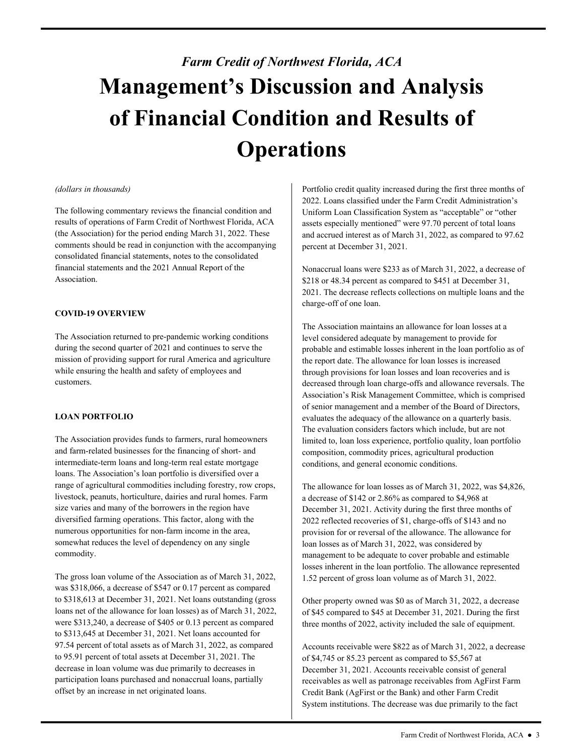# <span id="page-2-0"></span>*Farm Credit of Northwest Florida, ACA*  **Management's Discussion and Analysis of Financial Condition and Results of Operations**

#### *(dollars in thousands)*

The following commentary reviews the financial condition and results of operations of Farm Credit of Northwest Florida, ACA (the Association) for the period ending March 31, 2022. These comments should be read in conjunction with the accompanying consolidated financial statements, notes to the consolidated financial statements and the 2021 Annual Report of the Association.

#### **COVID-19 OVERVIEW**

 The Association returned to pre-pandemic working conditions customers. during the second quarter of 2021 and continues to serve the mission of providing support for rural America and agriculture while ensuring the health and safety of employees and

## **LOAN PORTFOLIO**

The Association provides funds to farmers, rural homeowners and farm-related businesses for the financing of short- and intermediate-term loans and long-term real estate mortgage loans. The Association's loan portfolio is diversified over a range of agricultural commodities including forestry, row crops, livestock, peanuts, horticulture, dairies and rural homes. Farm size varies and many of the borrowers in the region have diversified farming operations. This factor, along with the numerous opportunities for non-farm income in the area, somewhat reduces the level of dependency on any single commodity.

The gross loan volume of the Association as of March 31, 2022, was \$318,066, a decrease of \$547 or 0.17 percent as compared to \$318,613 at December 31, 2021. Net loans outstanding (gross loans net of the allowance for loan losses) as of March 31, 2022, were \$313,240, a decrease of \$405 or 0.13 percent as compared to \$313,645 at December 31, 2021. Net loans accounted for 97.54 percent of total assets as of March 31, 2022, as compared to 95.91 percent of total assets at December 31, 2021. The decrease in loan volume was due primarily to decreases in participation loans purchased and nonaccrual loans, partially offset by an increase in net originated loans.

Portfolio credit quality increased during the first three months of 2022. Loans classified under the Farm Credit Administration's Uniform Loan Classification System as "acceptable" or "other assets especially mentioned" were 97.70 percent of total loans and accrued interest as of March 31, 2022, as compared to 97.62 percent at December 31, 2021.

 charge-off of one loan. Nonaccrual loans were \$233 as of March 31, 2022, a decrease of \$218 or 48.34 percent as compared to \$451 at December 31, 2021. The decrease reflects collections on multiple loans and the

The Association maintains an allowance for loan losses at a level considered adequate by management to provide for probable and estimable losses inherent in the loan portfolio as of the report date. The allowance for loan losses is increased through provisions for loan losses and loan recoveries and is decreased through loan charge-offs and allowance reversals. The Association's Risk Management Committee, which is comprised of senior management and a member of the Board of Directors, evaluates the adequacy of the allowance on a quarterly basis. The evaluation considers factors which include, but are not limited to, loan loss experience, portfolio quality, loan portfolio composition, commodity prices, agricultural production conditions, and general economic conditions.

 loan losses as of March 31, 2022, was considered by The allowance for loan losses as of March 31, 2022, was \$4,826, a decrease of \$142 or 2.86% as compared to \$4,968 at December 31, 2021. Activity during the first three months of 2022 reflected recoveries of \$1, charge-offs of \$143 and no provision for or reversal of the allowance. The allowance for management to be adequate to cover probable and estimable losses inherent in the loan portfolio. The allowance represented 1.52 percent of gross loan volume as of March 31, 2022.

Other property owned was \$0 as of March 31, 2022, a decrease of \$45 compared to \$45 at December 31, 2021. During the first three months of 2022, activity included the sale of equipment.

 December 31, 2021. Accounts receivable consist of general Accounts receivable were \$822 as of March 31, 2022, a decrease of \$4,745 or 85.23 percent as compared to \$5,567 at receivables as well as patronage receivables from AgFirst Farm Credit Bank (AgFirst or the Bank) and other Farm Credit System institutions. The decrease was due primarily to the fact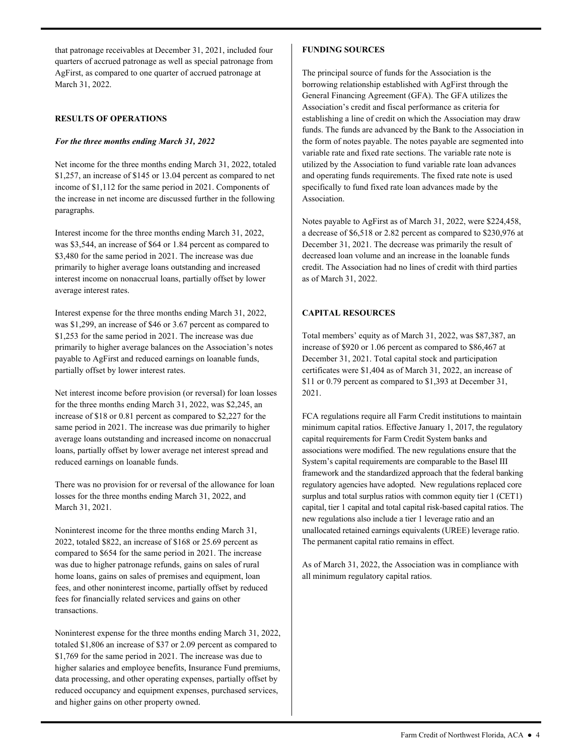that patronage receivables at December 31, 2021, included four quarters of accrued patronage as well as special patronage from AgFirst, as compared to one quarter of accrued patronage at March 31, 2022.

#### **RESULTS OF OPERATIONS**

### *For the three months ending March 31, 2022*

Net income for the three months ending March 31, 2022, totaled \$1,257, an increase of \$145 or 13.04 percent as compared to net income of \$1,112 for the same period in 2021. Components of the increase in net income are discussed further in the following paragraphs.

 interest income on nonaccrual loans, partially offset by lower Interest income for the three months ending March 31, 2022, was \$3,544, an increase of \$64 or 1.84 percent as compared to \$3,480 for the same period in 2021. The increase was due primarily to higher average loans outstanding and increased average interest rates.

Interest expense for the three months ending March 31, 2022, was \$1,299, an increase of \$46 or 3.67 percent as compared to \$1,253 for the same period in 2021. The increase was due primarily to higher average balances on the Association's notes payable to AgFirst and reduced earnings on loanable funds, partially offset by lower interest rates.

Net interest income before provision (or reversal) for loan losses for the three months ending March 31, 2022, was \$2,245, an increase of \$18 or 0.81 percent as compared to \$2,227 for the same period in 2021. The increase was due primarily to higher average loans outstanding and increased income on nonaccrual loans, partially offset by lower average net interest spread and reduced earnings on loanable funds.

There was no provision for or reversal of the allowance for loan losses for the three months ending March 31, 2022, and March 31, 2021.

Noninterest income for the three months ending March 31, 2022, totaled \$822, an increase of \$168 or 25.69 percent as compared to \$654 for the same period in 2021. The increase was due to higher patronage refunds, gains on sales of rural home loans, gains on sales of premises and equipment, loan fees, and other noninterest income, partially offset by reduced fees for financially related services and gains on other transactions.

Noninterest expense for the three months ending March 31, 2022, totaled \$1,806 an increase of \$37 or 2.09 percent as compared to \$1,769 for the same period in 2021. The increase was due to higher salaries and employee benefits, Insurance Fund premiums, data processing, and other operating expenses, partially offset by reduced occupancy and equipment expenses, purchased services, and higher gains on other property owned.

## **FUNDING SOURCES**

 specifically to fund fixed rate loan advances made by the The principal source of funds for the Association is the borrowing relationship established with AgFirst through the General Financing Agreement (GFA). The GFA utilizes the Association's credit and fiscal performance as criteria for establishing a line of credit on which the Association may draw funds. The funds are advanced by the Bank to the Association in the form of notes payable. The notes payable are segmented into variable rate and fixed rate sections. The variable rate note is utilized by the Association to fund variable rate loan advances and operating funds requirements. The fixed rate note is used Association.

 December 31, 2021. The decrease was primarily the result of Notes payable to AgFirst as of March 31, 2022, were \$224,458, a decrease of \$6,518 or 2.82 percent as compared to \$230,976 at decreased loan volume and an increase in the loanable funds credit. The Association had no lines of credit with third parties as of March 31, 2022.

## **CAPITAL RESOURCES**

 certificates were \$1,404 as of March 31, 2022, an increase of Total members' equity as of March 31, 2022, was \$87,387, an increase of \$920 or 1.06 percent as compared to \$86,467 at December 31, 2021. Total capital stock and participation \$11 or 0.79 percent as compared to \$1,393 at December 31, 2021.

FCA regulations require all Farm Credit institutions to maintain minimum capital ratios. Effective January 1, 2017, the regulatory capital requirements for Farm Credit System banks and associations were modified. The new regulations ensure that the System's capital requirements are comparable to the Basel III framework and the standardized approach that the federal banking regulatory agencies have adopted. New regulations replaced core surplus and total surplus ratios with common equity tier 1 (CET1) capital, tier 1 capital and total capital risk-based capital ratios. The new regulations also include a tier 1 leverage ratio and an unallocated retained earnings equivalents (UREE) leverage ratio. The permanent capital ratio remains in effect.

As of March 31, 2022, the Association was in compliance with all minimum regulatory capital ratios.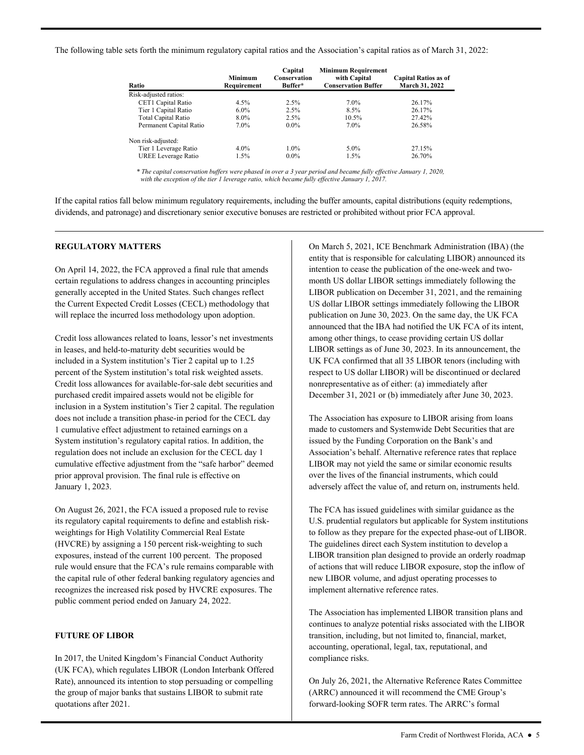The following table sets forth the minimum regulatory capital ratios and the Association's capital ratios as of March 31, 2022:

| Ratio                      | <b>Minimum</b><br>Requirement | Capital<br>Conservation<br>Buffer* | <b>Minimum Requirement</b><br>with Capital<br><b>Conservation Buffer</b> | <b>Capital Ratios as of</b><br>March 31, 2022 |
|----------------------------|-------------------------------|------------------------------------|--------------------------------------------------------------------------|-----------------------------------------------|
| Risk-adjusted ratios:      |                               |                                    |                                                                          |                                               |
| CET1 Capital Ratio         | $4.5\%$                       | 2.5%                               | $7.0\%$                                                                  | 26.17%                                        |
| Tier 1 Capital Ratio       | $6.0\%$                       | 2.5%                               | 8.5%                                                                     | 26.17%                                        |
| <b>Total Capital Ratio</b> | 8.0%                          | 2.5%                               | 10.5%                                                                    | 27.42%                                        |
| Permanent Capital Ratio    | $7.0\%$                       | $0.0\%$                            | $7.0\%$                                                                  | 26.58%                                        |
| Non risk-adjusted:         |                               |                                    |                                                                          |                                               |
| Tier 1 Leverage Ratio      | $4.0\%$                       | $1.0\%$                            | $5.0\%$                                                                  | 27.15%                                        |
| UREE Leverage Ratio        | 1.5%                          | $0.0\%$                            | $1.5\%$                                                                  | 26.70%                                        |

 *with the exception of the tier 1 leverage ratio, which became fully effective January 1, 2017. \* The capital conservation buffers were phased in over a 3 year period and became fully effective January 1, 2020,* 

If the capital ratios fall below minimum regulatory requirements, including the buffer amounts, capital distributions (equity redemptions, dividends, and patronage) and discretionary senior executive bonuses are restricted or prohibited without prior FCA approval.

### **REGULATORY MATTERS**

On April 14, 2022, the FCA approved a final rule that amends certain regulations to address changes in accounting principles generally accepted in the United States. Such changes reflect the Current Expected Credit Losses (CECL) methodology that will replace the incurred loss methodology upon adoption.

Credit loss allowances related to loans, lessor's net investments in leases, and held-to-maturity debt securities would be included in a System institution's Tier 2 capital up to 1.25 percent of the System institution's total risk weighted assets. Credit loss allowances for available-for-sale debt securities and purchased credit impaired assets would not be eligible for inclusion in a System institution's Tier 2 capital. The regulation does not include a transition phase-in period for the CECL day 1 cumulative effect adjustment to retained earnings on a System institution's regulatory capital ratios. In addition, the regulation does not include an exclusion for the CECL day 1 cumulative effective adjustment from the "safe harbor" deemed prior approval provision. The final rule is effective on January 1, 2023.

On August 26, 2021, the FCA issued a proposed rule to revise its regulatory capital requirements to define and establish riskweightings for High Volatility Commercial Real Estate (HVCRE) by assigning a 150 percent risk-weighting to such exposures, instead of the current 100 percent. The proposed rule would ensure that the FCA's rule remains comparable with the capital rule of other federal banking regulatory agencies and recognizes the increased risk posed by HVCRE exposures. The public comment period ended on January 24, 2022.

## **FUTURE OF LIBOR**

In 2017, the United Kingdom's Financial Conduct Authority (UK FCA), which regulates LIBOR (London Interbank Offered Rate), announced its intention to stop persuading or compelling the group of major banks that sustains LIBOR to submit rate quotations after 2021.

On March 5, 2021, ICE Benchmark Administration (IBA) (the entity that is responsible for calculating LIBOR) announced its intention to cease the publication of the one-week and twomonth US dollar LIBOR settings immediately following the LIBOR publication on December 31, 2021, and the remaining US dollar LIBOR settings immediately following the LIBOR publication on June 30, 2023. On the same day, the UK FCA announced that the IBA had notified the UK FCA of its intent, among other things, to cease providing certain US dollar LIBOR settings as of June 30, 2023. In its announcement, the UK FCA confirmed that all 35 LIBOR tenors (including with respect to US dollar LIBOR) will be discontinued or declared nonrepresentative as of either: (a) immediately after December 31, 2021 or (b) immediately after June 30, 2023.

 made to customers and Systemwide Debt Securities that are The Association has exposure to LIBOR arising from loans issued by the Funding Corporation on the Bank's and Association's behalf. Alternative reference rates that replace LIBOR may not yield the same or similar economic results over the lives of the financial instruments, which could adversely affect the value of, and return on, instruments held.

 The guidelines direct each System institution to develop a The FCA has issued guidelines with similar guidance as the U.S. prudential regulators but applicable for System institutions to follow as they prepare for the expected phase-out of LIBOR. LIBOR transition plan designed to provide an orderly roadmap of actions that will reduce LIBOR exposure, stop the inflow of new LIBOR volume, and adjust operating processes to implement alternative reference rates.

 transition, including, but not limited to, financial, market, The Association has implemented LIBOR transition plans and continues to analyze potential risks associated with the LIBOR accounting, operational, legal, tax, reputational, and compliance risks.

On July 26, 2021, the Alternative Reference Rates Committee (ARRC) announced it will recommend the CME Group's forward-looking SOFR term rates. The ARRC's formal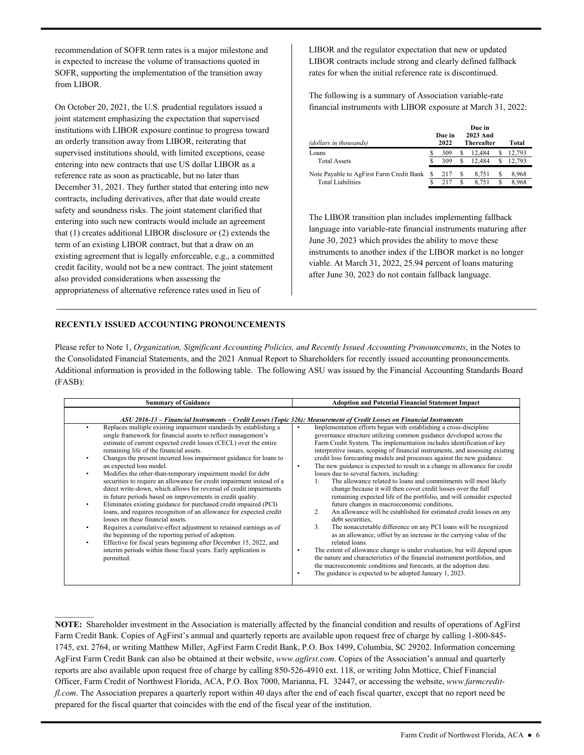recommendation of SOFR term rates is a major milestone and is expected to increase the volume of transactions quoted in SOFR, supporting the implementation of the transition away from LIBOR.

On October 20, 2021, the U.S. prudential regulators issued a joint statement emphasizing the expectation that supervised institutions with LIBOR exposure continue to progress toward an orderly transition away from LIBOR, reiterating that supervised institutions should, with limited exceptions, cease entering into new contracts that use US dollar LIBOR as a reference rate as soon as practicable, but no later than December 31, 2021. They further stated that entering into new contracts, including derivatives, after that date would create safety and soundness risks. The joint statement clarified that entering into such new contracts would include an agreement that (1) creates additional LIBOR disclosure or (2) extends the term of an existing LIBOR contract, but that a draw on an existing agreement that is legally enforceable, e.g., a committed credit facility, would not be a new contract. The joint statement also provided considerations when assessing the appropriateness of alternative reference rates used in lieu of

 LIBOR and the regulator expectation that new or updated LIBOR contracts include strong and clearly defined fallback rates for when the initial reference rate is discontinued.

The following is a summary of Association variable-rate financial instruments with LIBOR exposure at March 31, 2022:

| (dollars in thousands)                   | Due in<br>2022 |   | Due in<br>2023 And<br>Thereafter |   | Total  |
|------------------------------------------|----------------|---|----------------------------------|---|--------|
| Loans                                    | 309            | S | 12.484                           |   | 12.793 |
| <b>Total Assets</b>                      | 309            |   | 12.484                           |   | 12.793 |
| Note Payable to AgFirst Farm Credit Bank | 217            |   | 8.751                            | S | 8.968  |
| <b>Total Liabilities</b>                 | 217            |   | 8.751                            | S | 8.968  |

The LIBOR transition plan includes implementing fallback language into variable-rate financial instruments maturing after June 30, 2023 which provides the ability to move these instruments to another index if the LIBOR market is no longer viable. At March 31, 2022, 25.94 percent of loans maturing after June 30, 2023 do not contain fallback language.

### **RECENTLY ISSUED ACCOUNTING PRONOUNCEMENTS**

Please refer to Note 1, *Organization, Significant Accounting Policies, and Recently Issued Accounting Pronouncements*, in the Notes to the Consolidated Financial Statements, and the 2021 Annual Report to Shareholders for recently issued accounting pronouncements. Additional information is provided in the following table. The following ASU was issued by the Financial Accounting Standards Board (FASB):

| <b>Summary of Guidance</b>                                                                                                                                                                                                                                                                                                                                                                                                                                                                                                                                                                                                                      | <b>Adoption and Potential Financial Statement Impact</b>                                                                                                                                                                                                                                                                                                                                                                                                                                                                                                                                                                                                                                                                                           |
|-------------------------------------------------------------------------------------------------------------------------------------------------------------------------------------------------------------------------------------------------------------------------------------------------------------------------------------------------------------------------------------------------------------------------------------------------------------------------------------------------------------------------------------------------------------------------------------------------------------------------------------------------|----------------------------------------------------------------------------------------------------------------------------------------------------------------------------------------------------------------------------------------------------------------------------------------------------------------------------------------------------------------------------------------------------------------------------------------------------------------------------------------------------------------------------------------------------------------------------------------------------------------------------------------------------------------------------------------------------------------------------------------------------|
| ASU 2016-13 – Financial Instruments – Credit Losses (Topic 326): Measurement of Credit Losses on Financial Instruments<br>Replaces multiple existing impairment standards by establishing a<br>$\bullet$<br>single framework for financial assets to reflect management's<br>estimate of current expected credit losses (CECL) over the entire<br>remaining life of the financial assets.<br>Changes the present incurred loss impairment guidance for loans to<br>an expected loss model.<br>Modifies the other-than-temporary impairment model for debt<br>$\bullet$<br>securities to require an allowance for credit impairment instead of a | Implementation efforts began with establishing a cross-discipline<br>governance structure utilizing common guidance developed across the<br>Farm Credit System. The implementation includes identification of key<br>interpretive issues, scoping of financial instruments, and assessing existing<br>credit loss forecasting models and processes against the new guidance.<br>The new guidance is expected to result in a change in allowance for credit<br>$\bullet$<br>losses due to several factors, including:<br>The allowance related to loans and commitments will most likely<br>$\mathbf{1}$ .                                                                                                                                          |
| direct write-down, which allows for reversal of credit impairments<br>in future periods based on improvements in credit quality.<br>Eliminates existing guidance for purchased credit impaired (PCI)<br>٠<br>loans, and requires recognition of an allowance for expected credit<br>losses on these financial assets.<br>Requires a cumulative-effect adjustment to retained earnings as of<br>٠<br>the beginning of the reporting period of adoption.<br>Effective for fiscal years beginning after December 15, 2022, and<br>$\bullet$<br>interim periods within those fiscal years. Early application is<br>permitted.                       | change because it will then cover credit losses over the full<br>remaining expected life of the portfolio, and will consider expected<br>future changes in macroeconomic conditions,<br>An allowance will be established for estimated credit losses on any<br>2.<br>debt securities.<br>3.<br>The nonaccretable difference on any PCI loans will be recognized<br>as an allowance, offset by an increase in the carrying value of the<br>related loans.<br>The extent of allowance change is under evaluation, but will depend upon<br>the nature and characteristics of the financial instrument portfolios, and<br>the macroeconomic conditions and forecasts, at the adoption date.<br>The guidance is expected to be adopted January 1, 2023. |

**NOTE:** Shareholder investment in the Association is materially affected by the financial condition and results of operations of AgFirst Farm Credit Bank. Copies of AgFirst's annual and quarterly reports are available upon request free of charge by calling 1-800-845- 1745, ext. 2764, or writing Matthew Miller, AgFirst Farm Credit Bank, P.O. Box 1499, Columbia, SC 29202. Information concerning AgFirst Farm Credit Bank can also be obtained at their website, *<www.agfirst.com>*. Copies of the Association's annual and quarterly reports are also available upon request free of charge by calling 850-526-4910 ext. 118, or writing John Mottice, Chief Financial Officer, Farm Credit of Northwest Florida, ACA, P.O. Box 7000, Marianna, FL 32447, or accessing the website,*<www.farmcredit>fl.com*. The Association prepares a quarterly report within 40 days after the end of each fiscal quarter, except that no report need be prepared for the fiscal quarter that coincides with the end of the fiscal year of the institution.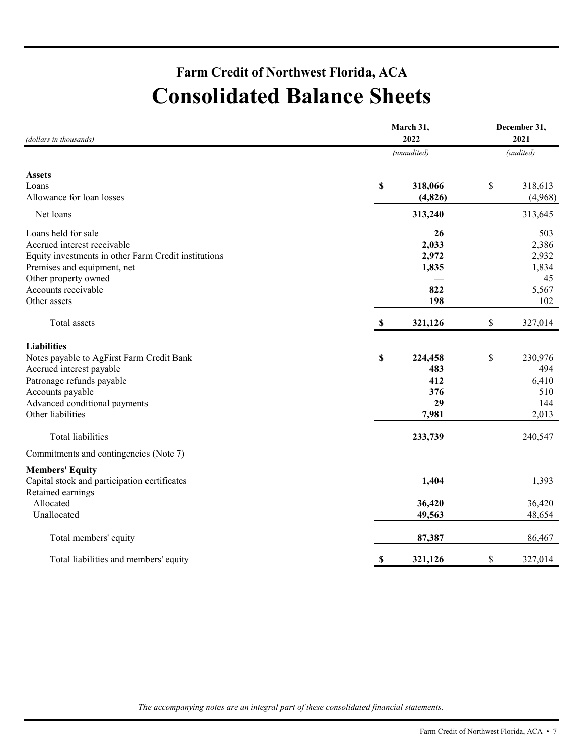## **Farm Credit of Northwest Florida, ACA Consolidated Balance Sheets**

| (audited)<br>(unaudited)<br><b>Assets</b><br>\$<br>318,066<br>\$<br>318,613<br>Allowance for loan losses<br>(4, 826)<br>(4,968)<br>Net loans<br>313,240<br>313,645<br>Loans held for sale<br>26<br>503<br>Accrued interest receivable<br>2,033<br>2,386<br>Equity investments in other Farm Credit institutions<br>2,972<br>2,932<br>Premises and equipment, net<br>1,834<br>1,835<br>Other property owned<br>45<br>Accounts receivable<br>822<br>5,567<br>198<br>Other assets<br>102<br>327,014<br>$\boldsymbol{\mathsf{S}}$<br>321,126<br>\$<br>Total assets<br><b>Liabilities</b><br>\$<br>\$<br>Notes payable to AgFirst Farm Credit Bank<br>230,976<br>224,458<br>Accrued interest payable<br>483<br>494<br>Patronage refunds payable<br>412<br>6,410<br>376<br>Accounts payable<br>510<br>Advanced conditional payments<br>29<br>144<br>Other liabilities<br>7,981<br>2,013<br>Total liabilities<br>233,739<br>240,547<br>Commitments and contingencies (Note 7)<br><b>Members' Equity</b><br>Capital stock and participation certificates<br>1,404<br>1,393<br>Retained earnings<br>Allocated<br>36,420<br>36,420<br>Unallocated<br>49,563<br>48,654<br>Total members' equity<br>87,387<br>86,467<br>\$<br>\$<br>321,126<br>327,014<br>Total liabilities and members' equity | (dollars in thousands) | March 31,<br>2022 | December 31,<br>2021 |  |
|-------------------------------------------------------------------------------------------------------------------------------------------------------------------------------------------------------------------------------------------------------------------------------------------------------------------------------------------------------------------------------------------------------------------------------------------------------------------------------------------------------------------------------------------------------------------------------------------------------------------------------------------------------------------------------------------------------------------------------------------------------------------------------------------------------------------------------------------------------------------------------------------------------------------------------------------------------------------------------------------------------------------------------------------------------------------------------------------------------------------------------------------------------------------------------------------------------------------------------------------------------------------------------------|------------------------|-------------------|----------------------|--|
|                                                                                                                                                                                                                                                                                                                                                                                                                                                                                                                                                                                                                                                                                                                                                                                                                                                                                                                                                                                                                                                                                                                                                                                                                                                                                     |                        |                   |                      |  |
|                                                                                                                                                                                                                                                                                                                                                                                                                                                                                                                                                                                                                                                                                                                                                                                                                                                                                                                                                                                                                                                                                                                                                                                                                                                                                     |                        |                   |                      |  |
|                                                                                                                                                                                                                                                                                                                                                                                                                                                                                                                                                                                                                                                                                                                                                                                                                                                                                                                                                                                                                                                                                                                                                                                                                                                                                     | Loans                  |                   |                      |  |
|                                                                                                                                                                                                                                                                                                                                                                                                                                                                                                                                                                                                                                                                                                                                                                                                                                                                                                                                                                                                                                                                                                                                                                                                                                                                                     |                        |                   |                      |  |
|                                                                                                                                                                                                                                                                                                                                                                                                                                                                                                                                                                                                                                                                                                                                                                                                                                                                                                                                                                                                                                                                                                                                                                                                                                                                                     |                        |                   |                      |  |
|                                                                                                                                                                                                                                                                                                                                                                                                                                                                                                                                                                                                                                                                                                                                                                                                                                                                                                                                                                                                                                                                                                                                                                                                                                                                                     |                        |                   |                      |  |
|                                                                                                                                                                                                                                                                                                                                                                                                                                                                                                                                                                                                                                                                                                                                                                                                                                                                                                                                                                                                                                                                                                                                                                                                                                                                                     |                        |                   |                      |  |
|                                                                                                                                                                                                                                                                                                                                                                                                                                                                                                                                                                                                                                                                                                                                                                                                                                                                                                                                                                                                                                                                                                                                                                                                                                                                                     |                        |                   |                      |  |
|                                                                                                                                                                                                                                                                                                                                                                                                                                                                                                                                                                                                                                                                                                                                                                                                                                                                                                                                                                                                                                                                                                                                                                                                                                                                                     |                        |                   |                      |  |
|                                                                                                                                                                                                                                                                                                                                                                                                                                                                                                                                                                                                                                                                                                                                                                                                                                                                                                                                                                                                                                                                                                                                                                                                                                                                                     |                        |                   |                      |  |
|                                                                                                                                                                                                                                                                                                                                                                                                                                                                                                                                                                                                                                                                                                                                                                                                                                                                                                                                                                                                                                                                                                                                                                                                                                                                                     |                        |                   |                      |  |
|                                                                                                                                                                                                                                                                                                                                                                                                                                                                                                                                                                                                                                                                                                                                                                                                                                                                                                                                                                                                                                                                                                                                                                                                                                                                                     |                        |                   |                      |  |
|                                                                                                                                                                                                                                                                                                                                                                                                                                                                                                                                                                                                                                                                                                                                                                                                                                                                                                                                                                                                                                                                                                                                                                                                                                                                                     |                        |                   |                      |  |
|                                                                                                                                                                                                                                                                                                                                                                                                                                                                                                                                                                                                                                                                                                                                                                                                                                                                                                                                                                                                                                                                                                                                                                                                                                                                                     |                        |                   |                      |  |
|                                                                                                                                                                                                                                                                                                                                                                                                                                                                                                                                                                                                                                                                                                                                                                                                                                                                                                                                                                                                                                                                                                                                                                                                                                                                                     |                        |                   |                      |  |
|                                                                                                                                                                                                                                                                                                                                                                                                                                                                                                                                                                                                                                                                                                                                                                                                                                                                                                                                                                                                                                                                                                                                                                                                                                                                                     |                        |                   |                      |  |
|                                                                                                                                                                                                                                                                                                                                                                                                                                                                                                                                                                                                                                                                                                                                                                                                                                                                                                                                                                                                                                                                                                                                                                                                                                                                                     |                        |                   |                      |  |
|                                                                                                                                                                                                                                                                                                                                                                                                                                                                                                                                                                                                                                                                                                                                                                                                                                                                                                                                                                                                                                                                                                                                                                                                                                                                                     |                        |                   |                      |  |
|                                                                                                                                                                                                                                                                                                                                                                                                                                                                                                                                                                                                                                                                                                                                                                                                                                                                                                                                                                                                                                                                                                                                                                                                                                                                                     |                        |                   |                      |  |
|                                                                                                                                                                                                                                                                                                                                                                                                                                                                                                                                                                                                                                                                                                                                                                                                                                                                                                                                                                                                                                                                                                                                                                                                                                                                                     |                        |                   |                      |  |
|                                                                                                                                                                                                                                                                                                                                                                                                                                                                                                                                                                                                                                                                                                                                                                                                                                                                                                                                                                                                                                                                                                                                                                                                                                                                                     |                        |                   |                      |  |
|                                                                                                                                                                                                                                                                                                                                                                                                                                                                                                                                                                                                                                                                                                                                                                                                                                                                                                                                                                                                                                                                                                                                                                                                                                                                                     |                        |                   |                      |  |
|                                                                                                                                                                                                                                                                                                                                                                                                                                                                                                                                                                                                                                                                                                                                                                                                                                                                                                                                                                                                                                                                                                                                                                                                                                                                                     |                        |                   |                      |  |
|                                                                                                                                                                                                                                                                                                                                                                                                                                                                                                                                                                                                                                                                                                                                                                                                                                                                                                                                                                                                                                                                                                                                                                                                                                                                                     |                        |                   |                      |  |
|                                                                                                                                                                                                                                                                                                                                                                                                                                                                                                                                                                                                                                                                                                                                                                                                                                                                                                                                                                                                                                                                                                                                                                                                                                                                                     |                        |                   |                      |  |
|                                                                                                                                                                                                                                                                                                                                                                                                                                                                                                                                                                                                                                                                                                                                                                                                                                                                                                                                                                                                                                                                                                                                                                                                                                                                                     |                        |                   |                      |  |
|                                                                                                                                                                                                                                                                                                                                                                                                                                                                                                                                                                                                                                                                                                                                                                                                                                                                                                                                                                                                                                                                                                                                                                                                                                                                                     |                        |                   |                      |  |
|                                                                                                                                                                                                                                                                                                                                                                                                                                                                                                                                                                                                                                                                                                                                                                                                                                                                                                                                                                                                                                                                                                                                                                                                                                                                                     |                        |                   |                      |  |
|                                                                                                                                                                                                                                                                                                                                                                                                                                                                                                                                                                                                                                                                                                                                                                                                                                                                                                                                                                                                                                                                                                                                                                                                                                                                                     |                        |                   |                      |  |

*The accompanying notes are an integral part of these consolidated financial statements.*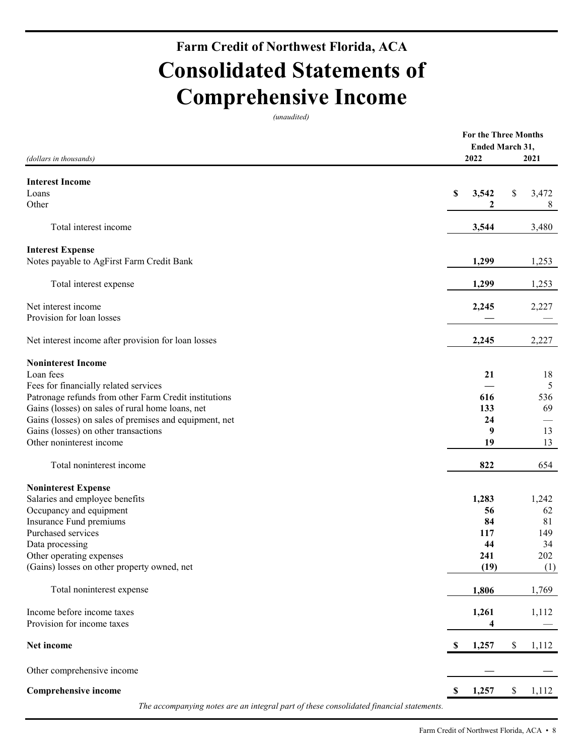## **Farm Credit of Northwest Florida, ACA Consolidated Statements of Comprehensive Income**

*(unaudited)*

|                                                                                         | For the Three Months   |             |
|-----------------------------------------------------------------------------------------|------------------------|-------------|
|                                                                                         | <b>Ended March 31,</b> |             |
| (dollars in thousands)                                                                  | 2022                   | 2021        |
| <b>Interest Income</b>                                                                  |                        |             |
| Loans                                                                                   | \$<br>3,542            | \$<br>3,472 |
| Other                                                                                   | 2                      | 8           |
|                                                                                         |                        |             |
| Total interest income                                                                   | 3,544                  | 3,480       |
| <b>Interest Expense</b>                                                                 |                        |             |
| Notes payable to AgFirst Farm Credit Bank                                               | 1,299                  | 1,253       |
|                                                                                         |                        |             |
| Total interest expense                                                                  | 1,299                  | 1,253       |
|                                                                                         |                        |             |
| Net interest income                                                                     | 2,245                  | 2,227       |
| Provision for loan losses                                                               |                        |             |
|                                                                                         |                        |             |
| Net interest income after provision for loan losses                                     | 2,245                  | 2,227       |
| <b>Noninterest Income</b>                                                               |                        |             |
| Loan fees                                                                               | 21                     | 18          |
| Fees for financially related services                                                   |                        | 5           |
| Patronage refunds from other Farm Credit institutions                                   | 616                    | 536         |
| Gains (losses) on sales of rural home loans, net                                        | 133                    | 69          |
| Gains (losses) on sales of premises and equipment, net                                  | 24                     |             |
| Gains (losses) on other transactions                                                    | 9                      | 13          |
| Other noninterest income                                                                | 19                     | 13          |
|                                                                                         |                        |             |
| Total noninterest income                                                                | 822                    | 654         |
| <b>Noninterest Expense</b>                                                              |                        |             |
| Salaries and employee benefits                                                          | 1,283                  | 1,242       |
| Occupancy and equipment                                                                 | 56                     | 62          |
| Insurance Fund premiums                                                                 | 84                     | 81          |
| Purchased services                                                                      | 117                    | 149         |
| Data processing                                                                         | 44                     | 34          |
| Other operating expenses                                                                | 241                    | 202         |
| (Gains) losses on other property owned, net                                             | (19)                   | (1)         |
| Total noninterest expense                                                               | 1,806                  | 1,769       |
|                                                                                         |                        |             |
| Income before income taxes                                                              | 1,261                  | 1,112       |
| Provision for income taxes                                                              | 4                      |             |
| Net income                                                                              | \$<br>1,257            | \$<br>1,112 |
| Other comprehensive income                                                              |                        |             |
| <b>Comprehensive income</b>                                                             | \$<br>1,257            | \$<br>1,112 |
| The accompanying notes are an integral part of these consolidated financial statements. |                        |             |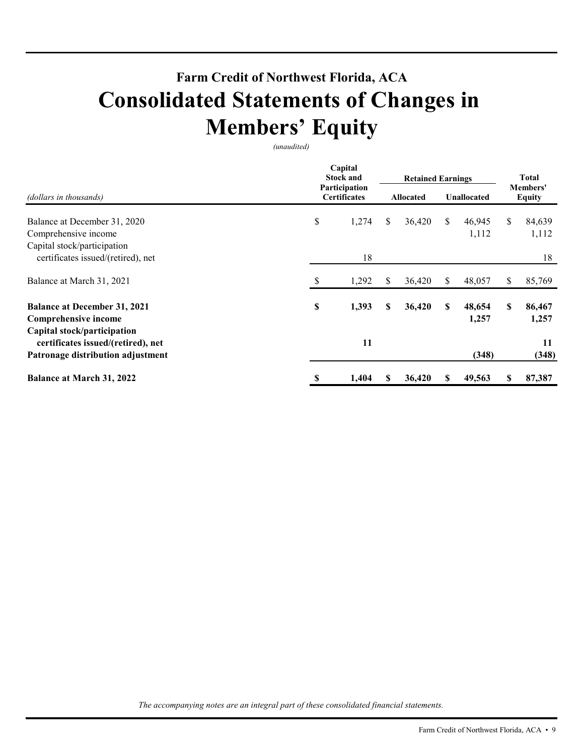## **Farm Credit of Northwest Florida, ACA Consolidated Statements of Changes in Members' Equity**

*(unaudited)* 

|                                                                    |    | Capital<br><b>Stock and</b>          |    | <b>Retained Earnings</b> | <b>Total</b> |                    |                           |                 |  |
|--------------------------------------------------------------------|----|--------------------------------------|----|--------------------------|--------------|--------------------|---------------------------|-----------------|--|
| (dollars in thousands)                                             |    | Participation<br><b>Certificates</b> |    | <b>Allocated</b>         |              | <b>Unallocated</b> | Members'<br><b>Equity</b> |                 |  |
| Balance at December 31, 2020                                       | \$ | 1,274                                | \$ | 36,420                   | \$           | 46,945             | \$                        | 84,639          |  |
| Comprehensive income                                               |    |                                      |    |                          |              | 1,112              |                           | 1,112           |  |
| Capital stock/participation                                        |    |                                      |    |                          |              |                    |                           |                 |  |
| certificates issued/(retired), net                                 |    | 18                                   |    |                          |              |                    |                           | 18              |  |
| Balance at March 31, 2021                                          |    | 1,292                                | S. | 36,420                   | S            | 48,057             | \$                        | 85,769          |  |
| <b>Balance at December 31, 2021</b><br><b>Comprehensive income</b> | \$ | 1,393                                | S  | 36,420                   | S            | 48,654<br>1,257    | \$                        | 86,467<br>1,257 |  |
| Capital stock/participation<br>certificates issued/(retired), net  |    | 11                                   |    |                          |              |                    |                           | 11              |  |
| Patronage distribution adjustment                                  |    |                                      |    |                          |              | (348)              |                           | (348)           |  |
| Balance at March 31, 2022                                          | S  | 1,404                                | S  | 36,420                   | S            | 49,563             | S                         | 87,387          |  |

*The accompanying notes are an integral part of these consolidated financial statements.*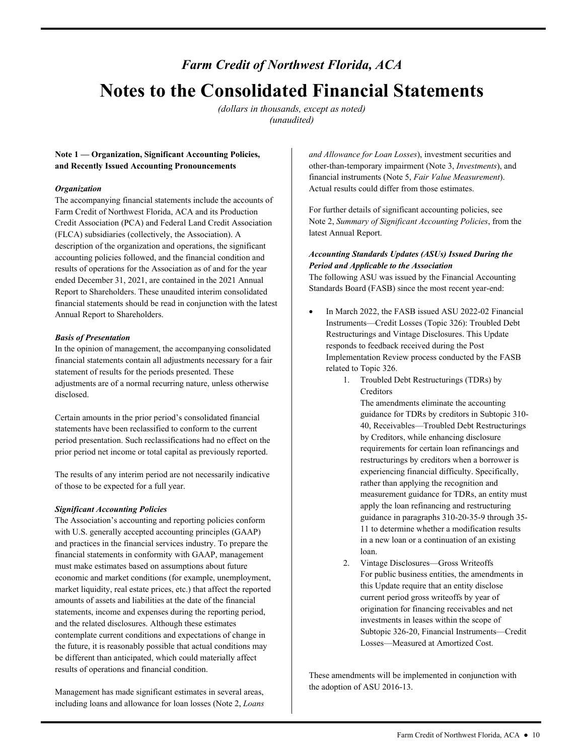## <span id="page-9-0"></span>*Farm Credit of Northwest Florida, ACA*  **Notes to the Consolidated Financial Statements**

*(dollars in thousands, except as noted) (unaudited)* 

## **Note 1 — Organization, Significant Accounting Policies, and Recently Issued Accounting Pronouncements**

### *Organization*

The accompanying financial statements include the accounts of Farm Credit of Northwest Florida, ACA and its Production Credit Association (PCA) and Federal Land Credit Association (FLCA) subsidiaries (collectively, the Association). A description of the organization and operations, the significant accounting policies followed, and the financial condition and results of operations for the Association as of and for the year ended December 31, 2021, are contained in the 2021 Annual Report to Shareholders. These unaudited interim consolidated financial statements should be read in conjunction with the latest Annual Report to Shareholders.

#### *Basis of Presentation*

In the opinion of management, the accompanying consolidated financial statements contain all adjustments necessary for a fair statement of results for the periods presented. These adjustments are of a normal recurring nature, unless otherwise disclosed.

Certain amounts in the prior period's consolidated financial statements have been reclassified to conform to the current period presentation. Such reclassifications had no effect on the prior period net income or total capital as previously reported.

 of those to be expected for a full year. The results of any interim period are not necessarily indicative

## *Significant Accounting Policies*

The Association's accounting and reporting policies conform with U.S. generally accepted accounting principles (GAAP) and practices in the financial services industry. To prepare the financial statements in conformity with GAAP, management must make estimates based on assumptions about future economic and market conditions (for example, unemployment, market liquidity, real estate prices, etc.) that affect the reported amounts of assets and liabilities at the date of the financial statements, income and expenses during the reporting period, and the related disclosures. Although these estimates contemplate current conditions and expectations of change in the future, it is reasonably possible that actual conditions may be different than anticipated, which could materially affect results of operations and financial condition.

Management has made significant estimates in several areas, including loans and allowance for loan losses (Note 2, *Loans*  *and Allowance for Loan Losses*), investment securities and other-than-temporary impairment (Note 3, *Investments*), and financial instruments (Note 5, *Fair Value Measurement*). Actual results could differ from those estimates.

For further details of significant accounting policies, see Note 2, *Summary of Significant Accounting Policies*, from the latest Annual Report.

## *Accounting Standards Updates (ASUs) Issued During the Period and Applicable to the Association*

 Standards Board (FASB) since the most recent year-end: The following ASU was issued by the Financial Accounting

- In March 2022, the FASB issued ASU 2022-02 Financial Instruments—Credit Losses (Topic 326): Troubled Debt Restructurings and Vintage Disclosures. This Update responds to feedback received during the Post Implementation Review process conducted by the FASB related to Topic 326.
	- 1. Troubled Debt Restructurings (TDRs) by Creditors

The amendments eliminate the accounting guidance for TDRs by creditors in Subtopic 310- 40, Receivables—Troubled Debt Restructurings by Creditors, while enhancing disclosure requirements for certain loan refinancings and restructurings by creditors when a borrower is experiencing financial difficulty. Specifically, rather than applying the recognition and measurement guidance for TDRs, an entity must apply the loan refinancing and restructuring guidance in paragraphs 310-20-35-9 through 35- 11 to determine whether a modification results in a new loan or a continuation of an existing loan.

 current period gross writeoffs by year of Losses—Measured at Amortized Cost. 2. Vintage Disclosures—Gross Writeoffs For public business entities, the amendments in this Update require that an entity disclose origination for financing receivables and net investments in leases within the scope of Subtopic 326-20, Financial Instruments—Credit

These amendments will be implemented in conjunction with the adoption of ASU 2016-13.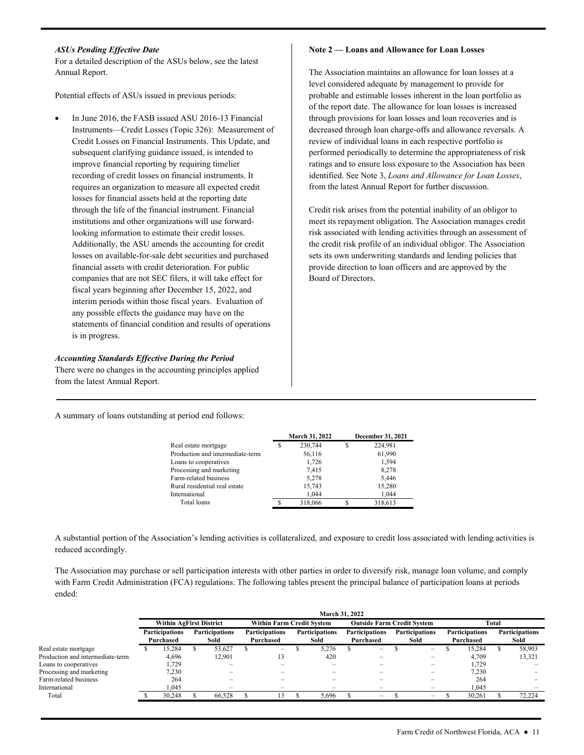### *ASUs Pending Effective Date*

For a detailed description of the ASUs below, see the latest Annual Report.

Potential effects of ASUs issued in previous periods:

 interim periods within those fiscal years. Evaluation of In June 2016, the FASB issued ASU 2016-13 Financial Instruments—Credit Losses (Topic 326): Measurement of Credit Losses on Financial Instruments. This Update, and subsequent clarifying guidance issued, is intended to improve financial reporting by requiring timelier recording of credit losses on financial instruments. It requires an organization to measure all expected credit losses for financial assets held at the reporting date through the life of the financial instrument. Financial institutions and other organizations will use forwardlooking information to estimate their credit losses. Additionally, the ASU amends the accounting for credit losses on available-for-sale debt securities and purchased financial assets with credit deterioration. For public companies that are not SEC filers, it will take effect for fiscal years beginning after December 15, 2022, and any possible effects the guidance may have on the statements of financial condition and results of operations is in progress.

#### *Accounting Standards Effective During the Period*

There were no changes in the accounting principles applied from the latest Annual Report.

**Note 2 — Loans and Allowance for Loan Losses** 

The Association maintains an allowance for loan losses at a level considered adequate by management to provide for probable and estimable losses inherent in the loan portfolio as of the report date. The allowance for loan losses is increased through provisions for loan losses and loan recoveries and is decreased through loan charge-offs and allowance reversals. A review of individual loans in each respective portfolio is performed periodically to determine the appropriateness of risk ratings and to ensure loss exposure to the Association has been identified. See Note 3, *Loans and Allowance for Loan Losses*, from the latest Annual Report for further discussion.

Credit risk arises from the potential inability of an obligor to meet its repayment obligation. The Association manages credit risk associated with lending activities through an assessment of the credit risk profile of an individual obligor. The Association sets its own underwriting standards and lending policies that provide direction to loan officers and are approved by the Board of Directors.

A summary of loans outstanding at period end follows:

|                                  |   | March 31, 2022 |   | December 31, 2021 |
|----------------------------------|---|----------------|---|-------------------|
| Real estate mortgage             | S | 230,744        | S | 224,981           |
| Production and intermediate-term |   | 56,116         |   | 61,990            |
| Loans to cooperatives            |   | 1,726          |   | 1,594             |
| Processing and marketing         |   | 7,415          |   | 8,278             |
| Farm-related business            |   | 5.278          |   | 5.446             |
| Rural residential real estate    |   | 15,743         |   | 15,280            |
| International                    |   | 1.044          |   | 1.044             |
| Total loans                      |   | 318,066        |   | 318,613           |

A substantial portion of the Association's lending activities is collateralized, and exposure to credit loss associated with lending activities is reduced accordingly.

The Association may purchase or sell participation interests with other parties in order to diversify risk, manage loan volume, and comply with Farm Credit Administration (FCA) regulations. The following tables present the principal balance of participation loans at periods ended:

|                                  |                                | <b>March 31, 2022</b>              |  |                               |  |                                    |  |                               |  |                                    |  |                               |  |                                    |  |                               |  |
|----------------------------------|--------------------------------|------------------------------------|--|-------------------------------|--|------------------------------------|--|-------------------------------|--|------------------------------------|--|-------------------------------|--|------------------------------------|--|-------------------------------|--|
|                                  | <b>Within AgFirst District</b> |                                    |  |                               |  | <b>Within Farm Credit System</b>   |  |                               |  | <b>Outside Farm Credit System</b>  |  |                               |  | Total                              |  |                               |  |
|                                  |                                | <b>Participations</b><br>Purchased |  | <b>Participations</b><br>Sold |  | <b>Participations</b><br>Purchased |  | <b>Participations</b><br>Sold |  | <b>Participations</b><br>Purchased |  | <b>Participations</b><br>Sold |  | <b>Participations</b><br>Purchased |  | <b>Participations</b><br>Sold |  |
| Real estate mortgage             |                                | 15.284                             |  | 53,627                        |  | $\overline{\phantom{0}}$           |  | 5.276                         |  | $\overline{\phantom{a}}$           |  | $\overline{\phantom{m}}$      |  | 15.284                             |  | 58,903                        |  |
| Production and intermediate-term |                                | 4,696                              |  | 12.901                        |  | 13                                 |  | 420                           |  | $\overline{\phantom{0}}$           |  | $\overline{\phantom{a}}$      |  | 4.709                              |  | 13,321                        |  |
| Loans to cooperatives            |                                | 1.729                              |  | -                             |  |                                    |  |                               |  |                                    |  | $\overline{\phantom{0}}$      |  | 1.729                              |  |                               |  |
| Processing and marketing         |                                | 7,230                              |  |                               |  |                                    |  |                               |  |                                    |  | $\overline{\phantom{0}}$      |  | 7,230                              |  |                               |  |
| Farm-related business            |                                | 264                                |  |                               |  |                                    |  |                               |  |                                    |  | $\overline{\phantom{0}}$      |  | 264                                |  |                               |  |
| International                    |                                | .045                               |  | -                             |  | -                                  |  | -                             |  | -                                  |  | $\overline{\phantom{0}}$      |  | 1.045                              |  |                               |  |
| Total                            |                                | 30.248                             |  | 66.528                        |  |                                    |  | 5.696                         |  | $\overline{\phantom{0}}$           |  | $\overline{\phantom{a}}$      |  | 30.261                             |  | 72.224                        |  |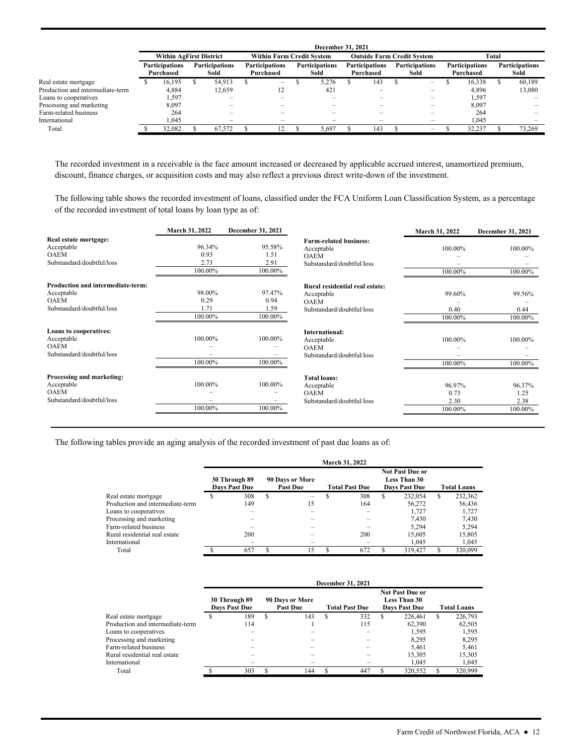|                                  |                                | December 31, 2021                  |  |                               |  |                                    |  |                               |  |                                    |  |                               |  |                                    |  |                               |  |
|----------------------------------|--------------------------------|------------------------------------|--|-------------------------------|--|------------------------------------|--|-------------------------------|--|------------------------------------|--|-------------------------------|--|------------------------------------|--|-------------------------------|--|
|                                  | <b>Within AgFirst District</b> |                                    |  |                               |  | <b>Within Farm Credit System</b>   |  |                               |  | <b>Outside Farm Credit System</b>  |  |                               |  | Total                              |  |                               |  |
|                                  |                                | <b>Participations</b><br>Purchased |  | <b>Participations</b><br>Sold |  | <b>Participations</b><br>Purchased |  | <b>Participations</b><br>Sold |  | <b>Participations</b><br>Purchased |  | <b>Participations</b><br>Sold |  | <b>Participations</b><br>Purchased |  | <b>Participations</b><br>Sold |  |
| Real estate mortgage             |                                | 16.195                             |  | 54.913                        |  | $\overline{\phantom{0}}$           |  | 5.276                         |  | 143                                |  | $\overline{\phantom{0}}$      |  | 16.338                             |  | 60.189                        |  |
| Production and intermediate-term |                                | 4,884                              |  | 12.659                        |  | 12                                 |  | 421                           |  |                                    |  | $\overline{\phantom{a}}$      |  | 4,896                              |  | 13,080                        |  |
| Loans to cooperatives            |                                | 1,597                              |  | $\overline{\phantom{0}}$      |  |                                    |  |                               |  |                                    |  | -                             |  | 1,597                              |  |                               |  |
| Processing and marketing         |                                | 8,097                              |  |                               |  |                                    |  |                               |  |                                    |  | $\overline{\phantom{0}}$      |  | 8,097                              |  |                               |  |
| Farm-related business            |                                | 264                                |  |                               |  |                                    |  |                               |  |                                    |  |                               |  | 264                                |  |                               |  |
| International                    |                                | 1.045                              |  | $\overline{\phantom{a}}$      |  |                                    |  |                               |  |                                    |  |                               |  | 1.045                              |  |                               |  |
| Total                            |                                | 32.082                             |  | 67.572                        |  | 2                                  |  | 5.697                         |  | 143                                |  | $\overline{\phantom{m}}$      |  | 32,237                             |  | 73.269                        |  |

The recorded investment in a receivable is the face amount increased or decreased by applicable accrued interest, unamortized premium, discount, finance charges, or acquisition costs and may also reflect a previous direct write-down of the investment.

 of the recorded investment of total loans by loan type as of: The following table shows the recorded investment of loans, classified under the FCA Uniform Loan Classification System, as a percentage

|                                   | March 31, 2022 | <b>December 31, 2021</b> |                                | March 31, 2022 | December 31, 2021 |
|-----------------------------------|----------------|--------------------------|--------------------------------|----------------|-------------------|
| Real estate mortgage:             |                |                          | <b>Farm-related business:</b>  |                |                   |
| Acceptable                        | 96.34%         | 95.58%                   | Acceptable                     | 100.00%        | 100.00%           |
| <b>OAEM</b>                       | 0.93           | 1.51                     | <b>OAEM</b>                    |                |                   |
| Substandard/doubtful/loss         | 2.73           | 2.91                     | Substandard/doubtful/loss      |                |                   |
|                                   | 100.00%        | 100.00%                  |                                | 100.00%        | 100.00%           |
| Production and intermediate-term: |                |                          | Rural residential real estate: |                |                   |
| Acceptable                        | 98.00%         | 97.47%                   | Acceptable                     | 99.60%         | 99.56%            |
| <b>OAEM</b>                       | 0.29           | 0.94                     | <b>OAEM</b>                    |                |                   |
| Substandard/doubtful/loss         | 1.71           | 1.59                     | Substandard/doubtful/loss      | 0.40           | 0.44              |
|                                   | 100.00%        | 100.00%                  |                                | 100.00%        | 100.00%           |
| Loans to cooperatives:            |                |                          | <b>International:</b>          |                |                   |
| Acceptable                        | 100.00%        | 100.00%                  | Acceptable                     | 100.00%        | 100.00%           |
| <b>OAEM</b>                       |                |                          | <b>OAEM</b>                    |                |                   |
| Substandard/doubtful/loss         |                |                          | Substandard/doubtful/loss      |                |                   |
|                                   | 100.00%        | 100.00%                  |                                | 100.00%        | 100.00%           |
| Processing and marketing:         |                |                          | <b>Total loans:</b>            |                |                   |
| Acceptable                        | 100.00%        | 100.00%                  | Acceptable                     | 96.97%         | 96.37%            |
| <b>OAEM</b>                       |                |                          | <b>OAEM</b>                    | 0.73           | 1.25              |
| Substandard/doubtful/loss         |                |                          | Substandard/doubtful/loss      | 2.30           | 2.38              |
|                                   | 100.00%        | 100.00%                  |                                | 100.00%        | 100.00%           |

The following tables provide an aging analysis of the recorded investment of past due loans as of:

|                                  |                                       |   |                                    |   | March 31, 2022        |   |                                                                       |                    |         |  |
|----------------------------------|---------------------------------------|---|------------------------------------|---|-----------------------|---|-----------------------------------------------------------------------|--------------------|---------|--|
|                                  | 30 Through 89<br><b>Davs Past Due</b> |   | 90 Days or More<br><b>Past Due</b> |   | <b>Total Past Due</b> |   | <b>Not Past Due or</b><br><b>Less Than 30</b><br><b>Days Past Due</b> | <b>Total Loans</b> |         |  |
| Real estate mortgage             | 308                                   | S | -                                  |   | 308                   | S | 232,054                                                               | S                  | 232,362 |  |
| Production and intermediate-term | 149                                   |   | 15                                 |   | 164                   |   | 56,272                                                                |                    | 56,436  |  |
| Loans to cooperatives            |                                       |   |                                    |   |                       |   | 1.727                                                                 |                    | 1,727   |  |
| Processing and marketing         |                                       |   |                                    |   |                       |   | 7.430                                                                 |                    | 7,430   |  |
| Farm-related business            |                                       |   |                                    |   |                       |   | 5.294                                                                 |                    | 5.294   |  |
| Rural residential real estate    | 200                                   |   |                                    |   | 200                   |   | 15,605                                                                |                    | 15,805  |  |
| International                    |                                       |   |                                    |   |                       |   | 1.045                                                                 |                    | 1,045   |  |
| Total                            | 657                                   | S | 15                                 | ς | 672                   |   | 319,427                                                               | S                  | 320,099 |  |

|                                  |                                                                                               |   |     |    | December 31, 2021 |                                                                       |   |                    |
|----------------------------------|-----------------------------------------------------------------------------------------------|---|-----|----|-------------------|-----------------------------------------------------------------------|---|--------------------|
|                                  | 90 Days or More<br>30 Through 89<br>Days Past Due<br><b>Past Due</b><br><b>Total Past Due</b> |   |     |    |                   | <b>Not Past Due or</b><br><b>Less Than 30</b><br><b>Days Past Due</b> |   | <b>Total Loans</b> |
| Real estate mortgage             | 189                                                                                           | S | 143 | -S | 332               | 226.461                                                               | S | 226,793            |
| Production and intermediate-term | 114                                                                                           |   |     |    | 115               | 62.390                                                                |   | 62,505             |
| Loans to cooperatives            |                                                                                               |   |     |    |                   | 1.595                                                                 |   | 1.595              |
| Processing and marketing         |                                                                                               |   |     |    |                   | 8.295                                                                 |   | 8.295              |
| Farm-related business            |                                                                                               |   |     |    |                   | 5.461                                                                 |   | 5.461              |
| Rural residential real estate    |                                                                                               |   |     |    |                   | 15,305                                                                |   | 15,305             |
| International                    |                                                                                               |   |     |    |                   | 1.045                                                                 |   | 1,045              |
| Total                            | 303                                                                                           |   | 144 |    | 447               | 320,552                                                               |   | 320,999            |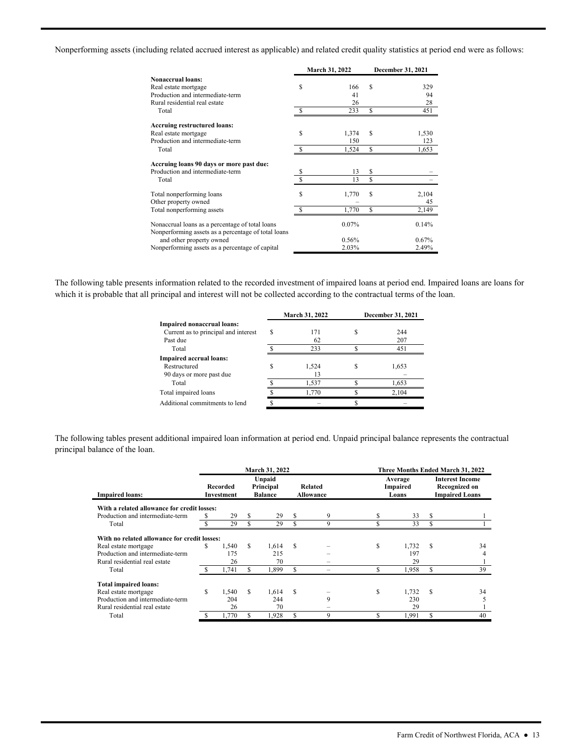Nonperforming assets (including related accrued interest as applicable) and related credit quality statistics at period end were as follows:

|                                                                                                        |    | March 31, 2022 |    | December 31, 2021 |
|--------------------------------------------------------------------------------------------------------|----|----------------|----|-------------------|
| <b>Nonaccrual loans:</b>                                                                               |    |                |    |                   |
| Real estate mortgage                                                                                   | S  | 166            | S  | 329               |
| Production and intermediate-term                                                                       |    | 41             |    | 94                |
| Rural residential real estate                                                                          |    | 26             |    | 28                |
| Total                                                                                                  |    | 233            | S  | 451               |
| <b>Accruing restructured loans:</b>                                                                    |    |                |    |                   |
| Real estate mortgage                                                                                   | S  | 1,374          | S  | 1,530             |
| Production and intermediate-term                                                                       |    | 150            |    | 123               |
| Total                                                                                                  |    | 1,524          | \$ | 1,653             |
| Accruing loans 90 days or more past due:                                                               |    |                |    |                   |
| Production and intermediate-term                                                                       | S  | 13             | \$ |                   |
| Total                                                                                                  |    | 13             | \$ |                   |
| Total nonperforming loans                                                                              | \$ | 1,770          | \$ | 2,104             |
| Other property owned                                                                                   |    |                |    | 45                |
| Total nonperforming assets                                                                             |    | 1,770          | S  | 2,149             |
| Nonaccrual loans as a percentage of total loans<br>Nonperforming assets as a percentage of total loans |    | 0.07%          |    | 0.14%             |
| and other property owned                                                                               |    | 0.56%          |    | $0.67\%$          |
| Nonperforming assets as a percentage of capital                                                        |    | 2.03%          |    | 2.49%             |

The following table presents information related to the recorded investment of impaired loans at period end. Impaired loans are loans for which it is probable that all principal and interest will not be collected according to the contractual terms of the loan.

|                                      |   | March 31, 2022 | December 31, 2021 |
|--------------------------------------|---|----------------|-------------------|
| Impaired nonaccrual loans:           |   |                |                   |
| Current as to principal and interest | S | 171            | 244               |
| Past due                             |   | 62             | 207               |
| Total                                |   | 233            | 451               |
| <b>Impaired accrual loans:</b>       |   |                |                   |
| Restructured                         |   | 1.524          | 1,653             |
| 90 days or more past due             |   | 13             |                   |
| Total                                |   | 1,537          | 1,653             |
| Total impaired loans                 |   | 1.770          | 2,104             |
| Additional commitments to lend       |   |                |                   |
|                                      |   |                |                   |

The following tables present additional impaired loan information at period end. Unpaid principal balance represents the contractual principal balance of the loan.

|                                              | March 31, 2022<br>Three Months Ended March 31, 2022 |                        |     |                                       |   |                                    |   |                              |               |                                                                  |
|----------------------------------------------|-----------------------------------------------------|------------------------|-----|---------------------------------------|---|------------------------------------|---|------------------------------|---------------|------------------------------------------------------------------|
| <b>Impaired loans:</b>                       |                                                     | Recorded<br>Investment |     | Unpaid<br>Principal<br><b>Balance</b> |   | <b>Related</b><br><b>Allowance</b> |   | Average<br>Impaired<br>Loans |               | <b>Interest Income</b><br>Recognized on<br><b>Impaired Loans</b> |
| With a related allowance for credit losses:  |                                                     |                        |     |                                       |   |                                    |   |                              |               |                                                                  |
| Production and intermediate-term             |                                                     | 29                     | S   | 29                                    | S | 9                                  |   | 33                           | S             |                                                                  |
| Total                                        |                                                     | 29                     |     | 29                                    |   | 9                                  |   | 33                           |               |                                                                  |
| With no related allowance for credit losses: |                                                     |                        |     |                                       |   |                                    |   |                              |               |                                                                  |
| Real estate mortgage                         | \$                                                  | 1.540                  | \$. | 1.614                                 | S |                                    | S | 1,732                        | \$.           | 34                                                               |
| Production and intermediate-term             |                                                     | 175                    |     | 215                                   |   |                                    |   | 197                          |               |                                                                  |
| Rural residential real estate                |                                                     | 26                     |     | 70                                    |   |                                    |   | 29                           |               |                                                                  |
| Total                                        |                                                     | 1,741                  | S   | 1,899                                 | S |                                    |   | 1,958                        |               | 39                                                               |
| <b>Total impaired loans:</b>                 |                                                     |                        |     |                                       |   |                                    |   |                              |               |                                                                  |
| Real estate mortgage                         | \$                                                  | 1.540                  | S   | 1,614                                 | S |                                    | S | 1,732                        | <sup>\$</sup> | 34                                                               |
| Production and intermediate-term             |                                                     | 204                    |     | 244                                   |   | 9                                  |   | 230                          |               |                                                                  |
| Rural residential real estate                |                                                     | 26                     |     | 70                                    |   |                                    |   | 29                           |               |                                                                  |
| Total                                        |                                                     | 1,770                  | S   | 1,928                                 |   | 9                                  |   | 1,991                        |               | 40                                                               |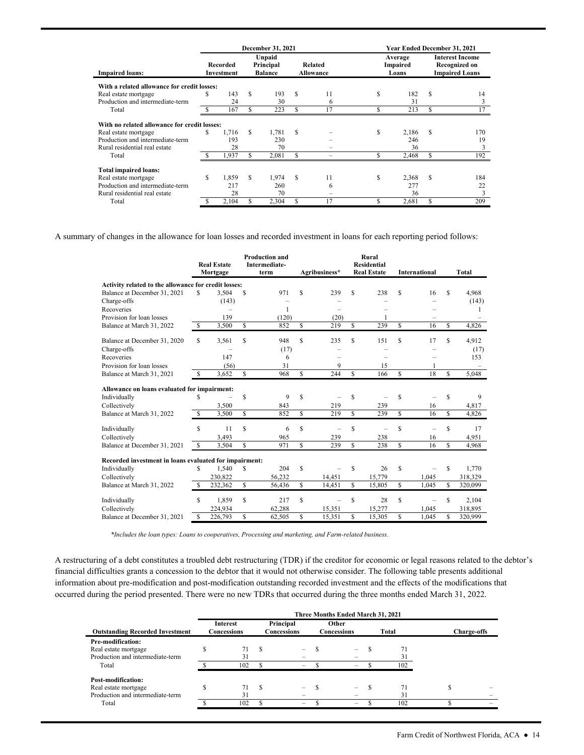|                                                                                                                                                                                          |                        |       |     | December 31, 2021 |   |                      |   | Year Ended December 31, 2021 |                                                                         |     |
|------------------------------------------------------------------------------------------------------------------------------------------------------------------------------------------|------------------------|-------|-----|-------------------|---|----------------------|---|------------------------------|-------------------------------------------------------------------------|-----|
| <b>Impaired loans:</b><br>Real estate mortgage<br>Production and intermediate-term<br>Total<br>Real estate mortgage<br>Production and intermediate-term<br>Rural residential real estate | Recorded<br>Investment |       |     |                   |   | Related<br>Allowance |   | Average<br>Impaired<br>Loans | <b>Interest Income</b><br><b>Recognized on</b><br><b>Impaired Loans</b> |     |
| With a related allowance for credit losses:                                                                                                                                              |                        |       |     |                   |   |                      |   |                              |                                                                         |     |
|                                                                                                                                                                                          |                        | 143   | \$  | 193               | S | 11                   | S | 182                          | \$.                                                                     | 14  |
|                                                                                                                                                                                          |                        | 24    |     | 30                |   | 6                    |   | 31                           |                                                                         | 3   |
|                                                                                                                                                                                          |                        | 167   | S   | 223               | S | 17                   |   | 213                          | S                                                                       | 17  |
| With no related allowance for credit losses:                                                                                                                                             |                        |       |     |                   |   |                      |   |                              |                                                                         |     |
|                                                                                                                                                                                          | S                      | 1.716 | S.  | 1.781             | S |                      | S | 2,186                        | \$.                                                                     | 170 |
|                                                                                                                                                                                          |                        | 193   |     | 230               |   |                      |   | 246                          |                                                                         | 19  |
|                                                                                                                                                                                          |                        | 28    |     | 70                |   |                      |   | 36                           |                                                                         | 3   |
| Total                                                                                                                                                                                    |                        | 1,937 | S.  | 2,081             | S |                      |   | 2,468                        | S                                                                       | 192 |
| <b>Total impaired loans:</b>                                                                                                                                                             |                        |       |     |                   |   |                      |   |                              |                                                                         |     |
| Real estate mortgage                                                                                                                                                                     | S                      | 1,859 | S.  | 1,974             | S | 11                   | S | 2,368                        | S                                                                       | 184 |
| Production and intermediate-term                                                                                                                                                         |                        | 217   |     | 260               |   | 6                    |   | 277                          |                                                                         | 22  |
| Rural residential real estate                                                                                                                                                            |                        | 28    |     | 70                |   |                      |   | 36                           |                                                                         | 3   |
| Total                                                                                                                                                                                    |                        | 2,104 | \$. | 2,304             | S | 17                   | S | 2,681                        | S                                                                       | 209 |

A summary of changes in the allowance for loan losses and recorded investment in loans for each reporting period follows:

|                                                        |    | <b>Real Estate</b><br>Mortgage |                    | <b>Production and</b><br>Intermediate-<br>term |    | Agribusiness* |              | Rural<br><b>Residential</b><br><b>Real Estate</b> |             | <b>International</b>     |              | Total   |
|--------------------------------------------------------|----|--------------------------------|--------------------|------------------------------------------------|----|---------------|--------------|---------------------------------------------------|-------------|--------------------------|--------------|---------|
| Activity related to the allowance for credit losses:   |    |                                |                    |                                                |    |               |              |                                                   |             |                          |              |         |
| Balance at December 31, 2021                           | S  | 3.504                          | S                  | 971                                            | Ŝ  | 239           | S            | 238                                               | S           | 16                       | S            | 4.968   |
| Charge-offs                                            |    | (143)                          |                    |                                                |    |               |              |                                                   |             |                          |              | (143)   |
| Recoveries                                             |    |                                |                    | 1                                              |    |               |              |                                                   |             |                          |              |         |
| Provision for loan losses                              |    | 139                            |                    | (120)                                          |    | (20)          |              |                                                   |             | $\overline{\phantom{0}}$ |              |         |
| Balance at March 31, 2022                              | S. | 3.500                          | S                  | 852                                            | S  | 219           | S            | 239                                               | S           | 16                       | S            | 4.826   |
| Balance at December 31, 2020                           | S  | 3.561                          | S                  | 948                                            | S  | 235           | S            | 151                                               | S           | 17                       | S            | 4.912   |
| Charge-offs                                            |    |                                |                    | (17)                                           |    |               |              |                                                   |             |                          |              | (17)    |
| Recoveries                                             |    | 147                            |                    | 6                                              |    | -             |              |                                                   |             |                          |              | 153     |
| Provision for loan losses                              |    | (56)                           |                    | 31                                             |    | 9             |              | 15                                                |             | 1                        |              |         |
| Balance at March 31, 2021                              | \$ | 3,652                          | \$                 | 968                                            | S  | 244           | S.           | 166                                               | S           | 18                       | \$.          | 5.048   |
| Allowance on loans evaluated for impairment:           |    |                                |                    |                                                |    |               |              |                                                   |             |                          |              |         |
| Individually                                           | S  |                                | S                  | 9                                              | S  |               | S            |                                                   | S           |                          | S            | 9       |
| Collectively                                           |    | 3,500                          |                    | 843                                            |    | 219           |              | 239                                               |             | 16                       |              | 4,817   |
| Balance at March 31, 2022                              | S  | 3,500                          | \$                 | 852                                            | \$ | 219           | $\mathbb{S}$ | 239                                               | $\mathbf S$ | 16                       | $\mathbb{S}$ | 4,826   |
| Individually                                           | S  | 11                             | \$                 | 6                                              | S  |               | S            |                                                   | \$          |                          | S            | 17      |
| Collectively                                           |    | 3,493                          |                    | 965                                            |    | 239           |              | 238                                               |             | 16                       |              | 4,951   |
| Balance at December 31, 2021                           | \$ | 3.504                          | \$                 | 971                                            | \$ | 239           | S.           | 238                                               | S           | 16                       | $\mathbf S$  | 4.968   |
| Recorded investment in loans evaluated for impairment: |    |                                |                    |                                                |    |               |              |                                                   |             |                          |              |         |
| Individually                                           | S  | 1,540                          | \$                 | 204                                            | S  |               | S            | 26                                                | S           |                          | S            | 1,770   |
| Collectively                                           |    | 230,822                        |                    | 56.232                                         |    | 14.451        |              | 15,779                                            |             | 1.045                    |              | 318,329 |
| Balance at March 31, 2022                              | S  | 232,362                        | \$                 | 56,436                                         | S. | 14,451        | S            | 15,805                                            | S           | 1,045                    | S            | 320,099 |
| Individually                                           | S  | 1,859                          | \$                 | 217                                            | S  |               | \$           | 28                                                | \$          |                          | S            | 2,104   |
| Collectively                                           |    | 224,934                        |                    | 62,288                                         |    | 15,351        |              | 15,277                                            |             | 1,045                    |              | 318,895 |
| Balance at December 31, 2021                           | S  | 226,793                        | $\mathbf{\hat{s}}$ | 62.505                                         | S  | 15.351        | S            | 15.305                                            | S           | 1.045                    | \$.          | 320,999 |

*\*Includes the loan types: Loans to cooperatives, Processing and marketing, and Farm-related business.* 

A restructuring of a debt constitutes a troubled debt restructuring (TDR) if the creditor for economic or legal reasons related to the debtor's financial difficulties grants a concession to the debtor that it would not otherwise consider. The following table presents additional information about pre-modification and post-modification outstanding recorded investment and the effects of the modifications that occurred during the period presented. There were no new TDRs that occurred during the three months ended March 31, 2022.

|                                                                                         |    |                                |    |                          | Three Months Ended March 31, 2021 |                 |                    |
|-----------------------------------------------------------------------------------------|----|--------------------------------|----|--------------------------|-----------------------------------|-----------------|--------------------|
| <b>Outstanding Recorded Investment</b>                                                  |    | <b>Interest</b><br>Concessions |    | Principal<br>Concessions | Other<br>Concessions              | Total           | <b>Charge-offs</b> |
| Pre-modification:<br>Real estate mortgage<br>Production and intermediate-term<br>Total  | a. | 31<br>102                      |    | -<br>-                   | $\overline{\phantom{0}}$          | 71<br>31<br>102 |                    |
| Post-modification:<br>Real estate mortgage<br>Production and intermediate-term<br>Total |    | 71<br>31<br>102                | £. | -<br>-                   | -                                 | 71<br>31<br>102 |                    |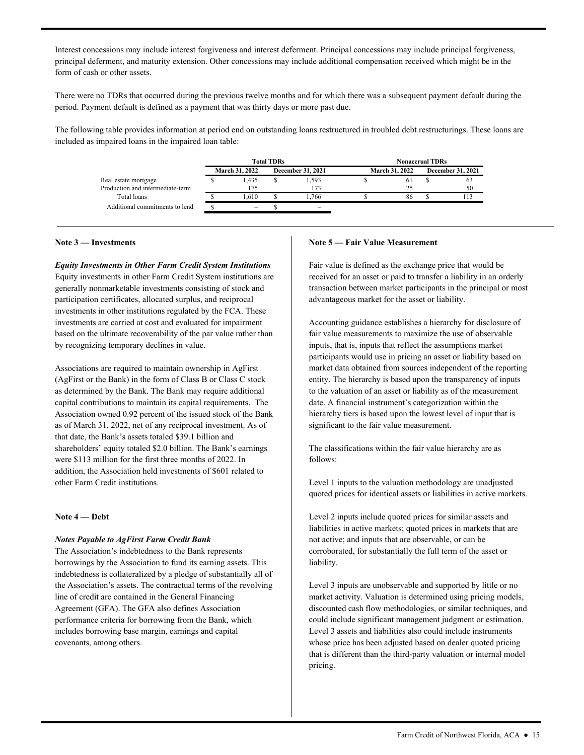Interest concessions may include interest forgiveness and interest deferment. Principal concessions may include principal forgiveness, principal deferment, and maturity extension. Other concessions may include additional compensation received which might be in the form of cash or other assets.

There were no TDRs that occurred during the previous twelve months and for which there was a subsequent payment default during the period. Payment default is defined as a payment that was thirty days or more past due.

 The following table provides information at period end on outstanding loans restructured in troubled debt restructurings. These loans are included as impaired loans in the impaired loan table:

|                                  |                       | <b>Total TDRs</b> |                          | <b>Nonaccrual TDRs</b> |                       |  |                          |  |  |  |
|----------------------------------|-----------------------|-------------------|--------------------------|------------------------|-----------------------|--|--------------------------|--|--|--|
|                                  | <b>March 31, 2022</b> |                   | <b>December 31, 2021</b> |                        | <b>March 31, 2022</b> |  | <b>December 31, 2021</b> |  |  |  |
| Real estate mortgage             | 1.435                 |                   | 1.593                    |                        | 61                    |  | 03                       |  |  |  |
| Production and intermediate-term | 175                   |                   | 173                      |                        |                       |  | 50                       |  |  |  |
| Total loans                      | .610                  |                   | . 766                    |                        | 86                    |  |                          |  |  |  |
| Additional commitments to lend   |                       |                   |                          |                        |                       |  |                          |  |  |  |

#### **Note 3 — Investments**

*Equity Investments in Other Farm Credit System Institutions*  Equity investments in other Farm Credit System institutions are generally nonmarketable investments consisting of stock and participation certificates, allocated surplus, and reciprocal investments in other institutions regulated by the FCA. These investments are carried at cost and evaluated for impairment based on the ultimate recoverability of the par value rather than by recognizing temporary declines in value.

 capital contributions to maintain its capital requirements. The shareholders' equity totaled \$2.0 billion. The Bank's earnings Associations are required to maintain ownership in AgFirst (AgFirst or the Bank) in the form of Class B or Class C stock as determined by the Bank. The Bank may require additional Association owned 0.92 percent of the issued stock of the Bank as of March 31, 2022, net of any reciprocal investment. As of that date, the Bank's assets totaled \$39.1 billion and were \$113 million for the first three months of 2022. In addition, the Association held investments of \$601 related to other Farm Credit institutions.

#### **Note 4 — Debt**

#### *Notes Payable to AgFirst Farm Credit Bank*

 line of credit are contained in the General Financing The Association's indebtedness to the Bank represents borrowings by the Association to fund its earning assets. This indebtedness is collateralized by a pledge of substantially all of the Association's assets. The contractual terms of the revolving Agreement (GFA). The GFA also defines Association performance criteria for borrowing from the Bank, which includes borrowing base margin, earnings and capital covenants, among others.

#### **Note 5 — Fair Value Measurement**

Fair value is defined as the exchange price that would be received for an asset or paid to transfer a liability in an orderly transaction between market participants in the principal or most advantageous market for the asset or liability.

Accounting guidance establishes a hierarchy for disclosure of fair value measurements to maximize the use of observable inputs, that is, inputs that reflect the assumptions market participants would use in pricing an asset or liability based on market data obtained from sources independent of the reporting entity. The hierarchy is based upon the transparency of inputs to the valuation of an asset or liability as of the measurement date. A financial instrument's categorization within the hierarchy tiers is based upon the lowest level of input that is significant to the fair value measurement.

The classifications within the fair value hierarchy are as follows:

Level 1 inputs to the valuation methodology are unadjusted quoted prices for identical assets or liabilities in active markets.

liability. liability.<br>Level 3 inputs are unobservable and supported by little or no Level 2 inputs include quoted prices for similar assets and liabilities in active markets; quoted prices in markets that are not active; and inputs that are observable, or can be corroborated, for substantially the full term of the asset or

pricing. market activity. Valuation is determined using pricing models, discounted cash flow methodologies, or similar techniques, and could include significant management judgment or estimation. Level 3 assets and liabilities also could include instruments whose price has been adjusted based on dealer quoted pricing that is different than the third-party valuation or internal model pricing. <br>  $\label{eq:15}$  Farm Credit of Northwest Florida, ACA<br>  $\bullet$  15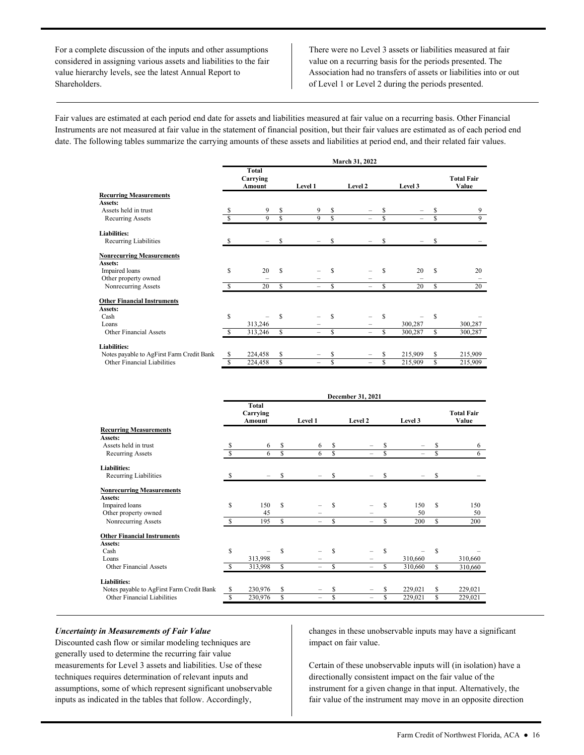For a complete discussion of the inputs and other assumptions considered in assigning various assets and liabilities to the fair value hierarchy levels, see the latest Annual Report to Shareholders.

There were no Level 3 assets or liabilities measured at fair value on a recurring basis for the periods presented. The Association had no transfers of assets or liabilities into or out of Level 1 or Level 2 during the periods presented.

 date. The following tables summarize the carrying amounts of these assets and liabilities at period end, and their related fair values. Fair values are estimated at each period end date for assets and liabilities measured at fair value on a recurring basis. Other Financial Instruments are not measured at fair value in the statement of financial position, but their fair values are estimated as of each period end

|                                           | March 31, 2022 |                             |    |                          |     |                          |     |         |    |                            |  |  |
|-------------------------------------------|----------------|-----------------------------|----|--------------------------|-----|--------------------------|-----|---------|----|----------------------------|--|--|
|                                           |                | Total<br>Carrying<br>Amount |    | Level 1                  |     | Level 2                  |     | Level 3 |    | <b>Total Fair</b><br>Value |  |  |
| <b>Recurring Measurements</b>             |                |                             |    |                          |     |                          |     |         |    |                            |  |  |
| Assets:                                   |                |                             |    |                          |     |                          |     |         |    |                            |  |  |
| Assets held in trust                      | S              | 9                           | \$ | 9                        | S   | -                        | \$  |         | S  | 9                          |  |  |
| <b>Recurring Assets</b>                   | S              | 9                           | \$ | 9                        | S   | $\overline{\phantom{0}}$ | \$  |         | \$ | 9                          |  |  |
| <b>Liabilities:</b>                       |                |                             |    |                          |     |                          |     |         |    |                            |  |  |
| Recurring Liabilities                     |                |                             | S  |                          | S   |                          |     |         | S  |                            |  |  |
| <b>Nonrecurring Measurements</b>          |                |                             |    |                          |     |                          |     |         |    |                            |  |  |
| Assets:                                   |                |                             |    |                          |     |                          |     |         |    |                            |  |  |
| Impaired loans                            | \$             | 20                          | S  |                          | \$. |                          | S   | 20      | S  | 20                         |  |  |
| Other property owned                      |                |                             |    |                          |     |                          |     |         |    |                            |  |  |
| Nonrecurring Assets                       | \$.            | 20                          | \$ | -                        | \$. | -                        | S   | 20      | S  | 20                         |  |  |
| <b>Other Financial Instruments</b>        |                |                             |    |                          |     |                          |     |         |    |                            |  |  |
| Assets:                                   |                |                             |    |                          |     |                          |     |         |    |                            |  |  |
| Cash                                      | \$             |                             | S  |                          | S   |                          | \$. |         | S  |                            |  |  |
| Loans                                     |                | 313,246                     |    |                          |     |                          |     | 300,287 |    | 300,287                    |  |  |
| <b>Other Financial Assets</b>             | \$.            | 313,246                     | \$ | -                        | \$. | $\overline{\phantom{0}}$ | \$  | 300,287 | \$ | 300,287                    |  |  |
| <b>Liabilities:</b>                       |                |                             |    |                          |     |                          |     |         |    |                            |  |  |
| Notes payable to AgFirst Farm Credit Bank | \$             | 224,458                     | \$ |                          | \$  |                          |     | 215,909 | \$ | 215,909                    |  |  |
| Other Financial Liabilities               | \$             | 224,458                     | \$ | $\overline{\phantom{0}}$ | \$  | -                        | \$  | 215,909 | \$ | 215,909                    |  |  |

|                                           |    | December 31, 2021           |    |                |    |                          |   |         |    |                            |  |  |
|-------------------------------------------|----|-----------------------------|----|----------------|----|--------------------------|---|---------|----|----------------------------|--|--|
|                                           |    | Total<br>Carrying<br>Amount |    | <b>Level 1</b> |    | Level 2                  |   | Level 3 |    | <b>Total Fair</b><br>Value |  |  |
| <b>Recurring Measurements</b>             |    |                             |    |                |    |                          |   |         |    |                            |  |  |
| Assets:                                   |    |                             |    |                |    |                          |   |         |    |                            |  |  |
| Assets held in trust                      | S  | 6                           | \$ | 6              | \$ |                          | S |         | S  | 6                          |  |  |
| Recurring Assets                          |    | 6                           | S  | 6              | S  |                          | S |         | Ŝ  | 6                          |  |  |
| <b>Liabilities:</b>                       |    |                             |    |                |    |                          |   |         |    |                            |  |  |
| Recurring Liabilities                     | S  |                             | S  |                | S  |                          | S |         | S  |                            |  |  |
| <b>Nonrecurring Measurements</b>          |    |                             |    |                |    |                          |   |         |    |                            |  |  |
| Assets:                                   |    |                             |    |                |    |                          |   |         |    |                            |  |  |
| Impaired loans                            | \$ | 150                         | S  |                | S  |                          | S | 150     | S  | 150                        |  |  |
| Other property owned                      |    | 45                          |    |                |    |                          |   | 50      |    | 50                         |  |  |
| Nonrecurring Assets                       | S  | 195                         | \$ | -              | S  | $\overline{\phantom{0}}$ | S | 200     | S  | 200                        |  |  |
| <b>Other Financial Instruments</b>        |    |                             |    |                |    |                          |   |         |    |                            |  |  |
| Assets:                                   |    |                             |    |                |    |                          |   |         |    |                            |  |  |
| Cash                                      | \$ |                             | \$ |                | S  |                          | S |         | \$ |                            |  |  |
| Loans                                     |    | 313,998                     |    |                |    |                          |   | 310,660 |    | 310,660                    |  |  |
| Other Financial Assets                    | S  | 313,998                     | \$ | -              | S  | $\equiv$                 | S | 310,660 | S  | 310,660                    |  |  |
| <b>Liabilities:</b>                       |    |                             |    |                |    |                          |   |         |    |                            |  |  |
| Notes payable to AgFirst Farm Credit Bank | S  | 230,976                     | \$ |                | S  |                          |   | 229,021 | S  | 229,021                    |  |  |
| Other Financial Liabilities               | S  | 230,976                     | \$ | -              | \$ | -                        | S | 229,021 | S  | 229,021                    |  |  |

#### *Uncertainty in Measurements of Fair Value*

inputs as indicated in the tables that follow. Accordingly, Discounted cash flow or similar modeling techniques are generally used to determine the recurring fair value measurements for Level 3 assets and liabilities. Use of these techniques requires determination of relevant inputs and assumptions, some of which represent significant unobservable Uncertainty in Measurements of Fair Value<br>
Discounted cash flow or similar modeling techniques are<br>
generally used to determine the recurring fair value<br>
reasurements for Level 3 assets and liabilities. Use of these<br>
techn

impact on fair value.

Certain of these unobservable inputs will (in isolation) have a directionally consistent impact on the fair value of the instrument for a given change in that input. Alternatively, the fair value of the instrument may move in an opposite direction